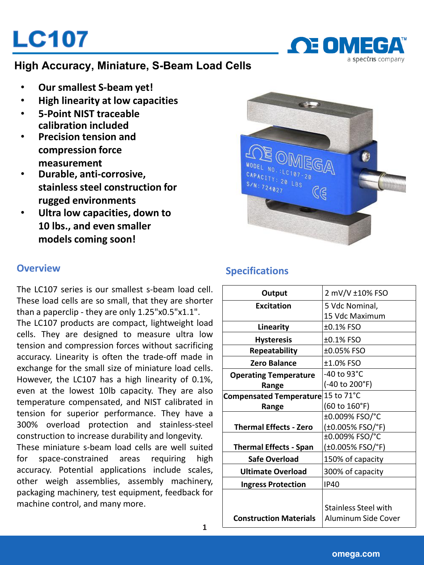# **LC107**



## **High Accuracy, Miniature, S-Beam Load Cells**

- **Our smallest S-beam yet!**
- **High linearity at low capacities**
- **5-Point NIST traceable calibration included**
- **Precision tension and compression force measurement**
- **Durable, anti-corrosive, stainless steel construction for rugged environments**
- **Ultra low capacities, down to 10 lbs., and even smaller models coming soon!**



The LC107 series is our smallest s-beam load cell. These load cells are so small, that they are shorter than a paperclip - they are only 1.25"x0.5"x1.1". The LC107 products are compact, lightweight load cells. They are designed to measure ultra low tension and compression forces without sacrificing accuracy. Linearity is often the trade-off made in exchange for the small size of miniature load cells. However, the LC107 has a high linearity of 0.1%, even at the lowest 10lb capacity. They are also temperature compensated, and NIST calibrated in tension for superior performance. They have a 300% overload protection and stainless-steel construction to increase durability and longevity.

These miniature s-beam load cells are well suited for space-constrained areas requiring high accuracy. Potential applications include scales, other weigh assemblies, assembly machinery, packaging machinery, test equipment, feedback for machine control, and many more.

**1**

# **Overview Specifications Specifications**

| Output                             | 2 mV/V ±10% FSO             |
|------------------------------------|-----------------------------|
| <b>Excitation</b>                  | 5 Vdc Nominal,              |
|                                    | 15 Vdc Maximum              |
| Linearity                          | ±0.1% FSO                   |
| <b>Hysteresis</b>                  | ±0.1% FSO                   |
| Repeatability                      | ±0.05% FSO                  |
| <b>Zero Balance</b>                | ±1.0% FSO                   |
| <b>Operating Temperature</b>       | -40 to 93°C                 |
| Range                              | (-40 to 200°F)              |
| Compensated Temperature 15 to 71°C |                             |
| Range                              | (60 to 160°F)               |
|                                    | ±0.009% FSO/°C              |
| <b>Thermal Effects - Zero</b>      | (±0.005% FSO/°F)            |
|                                    | ±0.009% FSO/°C              |
| <b>Thermal Effects - Span</b>      | (±0.005% FSO/°F)            |
| Safe Overload                      | 150% of capacity            |
| Ultimate Overload                  | 300% of capacity            |
| <b>Ingress Protection</b>          | IP40                        |
|                                    |                             |
|                                    | <b>Stainless Steel with</b> |
| <b>Construction Materials</b>      | Aluminum Side Cover         |